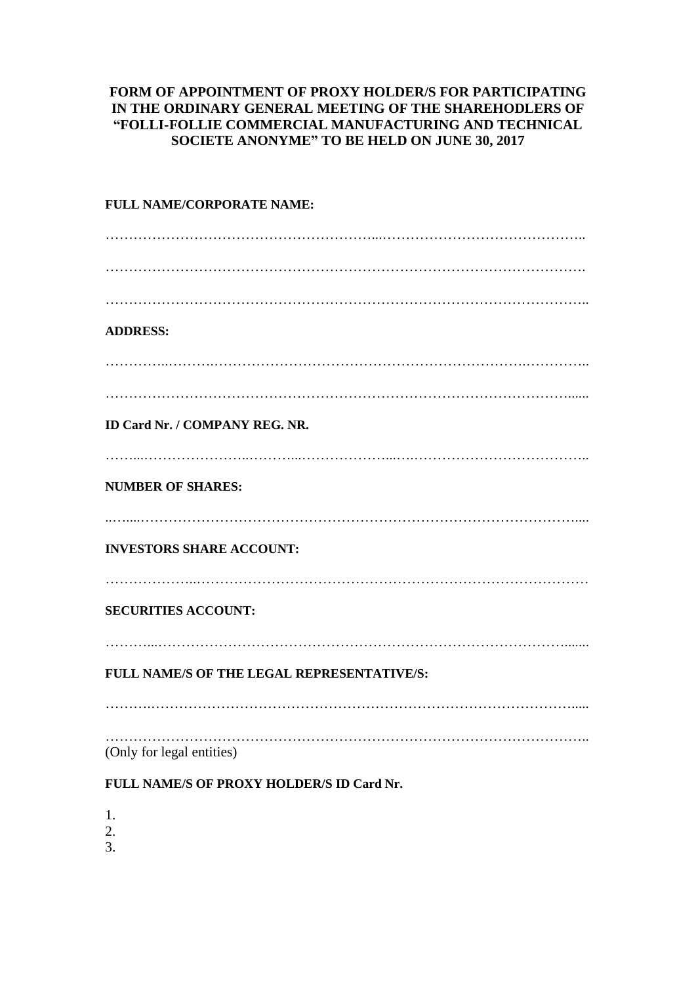## **FORM OF APPOINTMENT OF PROXY HOLDER/S FOR PARTICIPATING IN THE ORDINARY GENERAL MEETING OF THE SHAREHODLERS OF "FOLLI-FOLLIE COMMERCIAL MANUFACTURING AND TECHNICAL SOCIETE ANONYME" TO BE HELD ON JUNE 30, 2017**

| FULL NAME/CORPORATE NAME:                  |
|--------------------------------------------|
|                                            |
|                                            |
|                                            |
| <b>ADDRESS:</b>                            |
|                                            |
|                                            |
| <b>ID Card Nr. / COMPANY REG. NR.</b>      |
| <b>NUMBER OF SHARES:</b>                   |
|                                            |
| <b>INVESTORS SHARE ACCOUNT:</b>            |
| <b>SECURITIES ACCOUNT:</b>                 |
| FULL NAME/S OF THE LEGAL REPRESENTATIVE/S: |
|                                            |
| (Only for legal entities)                  |
| FULL NAME/S OF PROXY HOLDER/S ID Card Nr.  |
| 1.                                         |

- 2.
- 3.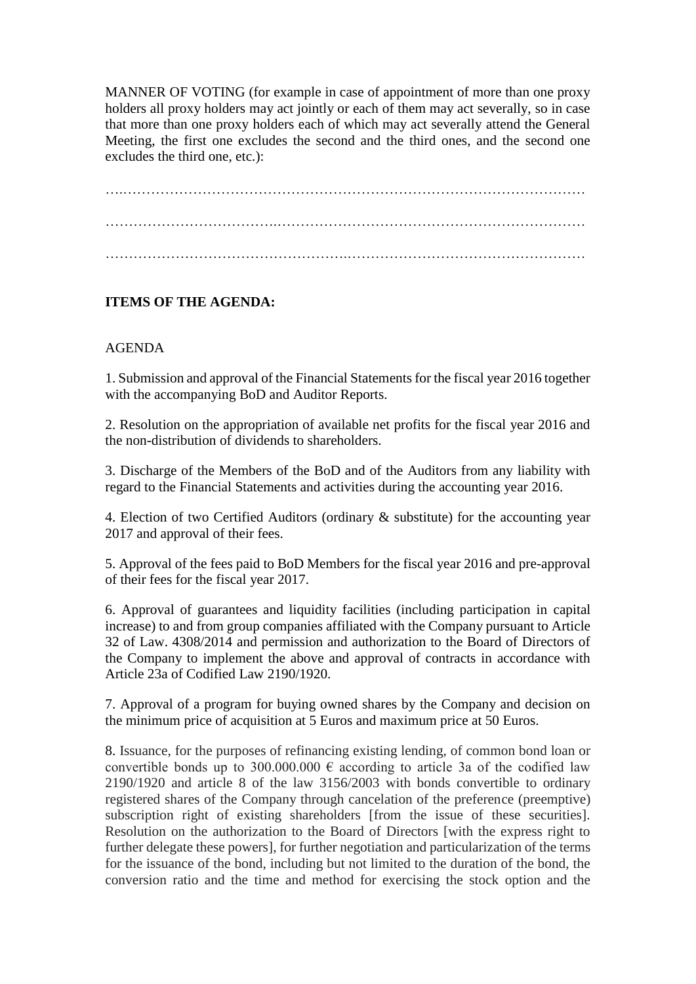MANNER OF VOTING (for example in case of appointment of more than one proxy holders all proxy holders may act jointly or each of them may act severally, so in case that more than one proxy holders each of which may act severally attend the General Meeting, the first one excludes the second and the third ones, and the second one excludes the third one, etc.):

….……………………………………………………………………………………… ……………………………….………………………………………………………… …………………………………………….……………………………………………

## **ITEMS OF THE AGENDA:**

## AGENDA

1. Submission and approval of the Financial Statements for the fiscal year 2016 together with the accompanying BoD and Auditor Reports.

2. Resolution on the appropriation of available net profits for the fiscal year 2016 and the non-distribution of dividends to shareholders.

3. Discharge of the Members of the BoD and of the Auditors from any liability with regard to the Financial Statements and activities during the accounting year 2016.

4. Election of two Certified Auditors (ordinary & substitute) for the accounting year 2017 and approval of their fees.

5. Approval of the fees paid to BoD Members for the fiscal year 2016 and pre-approval of their fees for the fiscal year 2017.

6. Approval of guarantees and liquidity facilities (including participation in capital increase) to and from group companies affiliated with the Company pursuant to Article 32 of Law. 4308/2014 and permission and authorization to the Board of Directors of the Company to implement the above and approval of contracts in accordance with Article 23a of Codified Law 2190/1920.

7. Approval of a program for buying owned shares by the Company and decision on the minimum price of acquisition at 5 Euros and maximum price at 50 Euros.

8. Issuance, for the purposes of refinancing existing lending, of common bond loan or convertible bonds up to 300.000.000  $\epsilon$  according to article 3a of the codified law 2190/1920 and article 8 of the law 3156/2003 with bonds convertible to ordinary registered shares of the Company through cancelation of the preference (preemptive) subscription right of existing shareholders [from the issue of these securities]. Resolution on the authorization to the Board of Directors [with the express right to further delegate these powers], for further negotiation and particularization of the terms for the issuance of the bond, including but not limited to the duration of the bond, the conversion ratio and the time and method for exercising the stock option and the